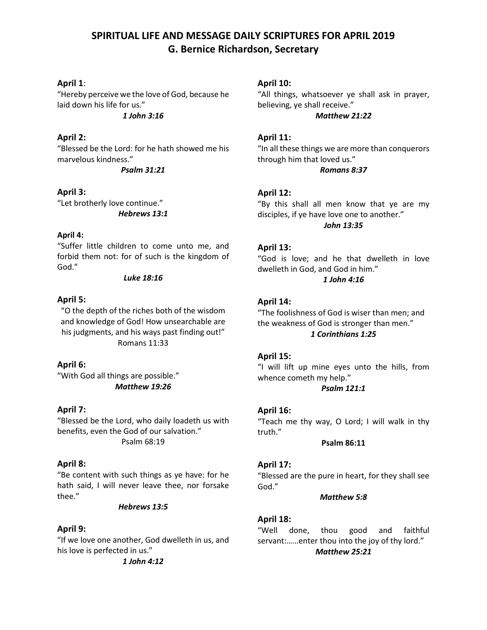# **SPIRITUAL LIFE AND MESSAGE DAILY SCRIPTURES FOR APRIL 2019 G. Bernice Richardson, Secretary**

# **April 1**:

"Hereby perceive we the love of God, because he laid down his life for us."

*1 John 3:16*

# **April 2:**

"Blessed be the Lord: for he hath showed me his marvelous kindness."

*Psalm 31:21*

# **April 3:**

"Let brotherly love continue." *Hebrews 13:1*

# **April 4:**

"Suffer little children to come unto me, and forbid them not: for of such is the kingdom of God."

### *Luke 18:16*

# **April 5:**

"O the depth of the riches both of the wisdom and knowledge of God! How unsearchable are his judgments, and his ways past finding out!" Romans 11:33

# **April 6:**

"With God all things are possible." *Matthew 19:26*

# **April 7:**

"Blessed be the Lord, who daily loadeth us with benefits, even the God of our salvation." Psalm 68:19

# **April 8:**

"Be content with such things as ye have: for he hath said, I will never leave thee, nor forsake thee."

# *Hebrews 13:5*

# **April 9:**

"If we love one another, God dwelleth in us, and his love is perfected in us."

*1 John 4:12* 

# **April 10:**

"All things, whatsoever ye shall ask in prayer, believing, ye shall receive."

*Matthew 21:22*

# **April 11:**

"In all these things we are more than conquerors through him that loved us."

*Romans 8:37*

# **April 12:**

"By this shall all men know that ye are my disciples, if ye have love one to another." *John 13:35*

### **April 13:**

"God is love; and he that dwelleth in love dwelleth in God, and God in him." *1 John 4:16*

# **April 14:**

"The foolishness of God is wiser than men; and the weakness of God is stronger than men." *1 Corinthians 1:25*

# **April 15:**

"I will lift up mine eyes unto the hills, from whence cometh my help."

*Psalm 121:1*

# **April 16:**

"Teach me thy way, O Lord; I will walk in thy truth."

**Psalm 86:11**

### **April 17:**

"Blessed are the pure in heart, for they shall see God."

### *Matthew 5:8*

# **April 18:**

"Well done, thou good and faithful servant:……enter thou into the joy of thy lord." *Matthew 25:21*